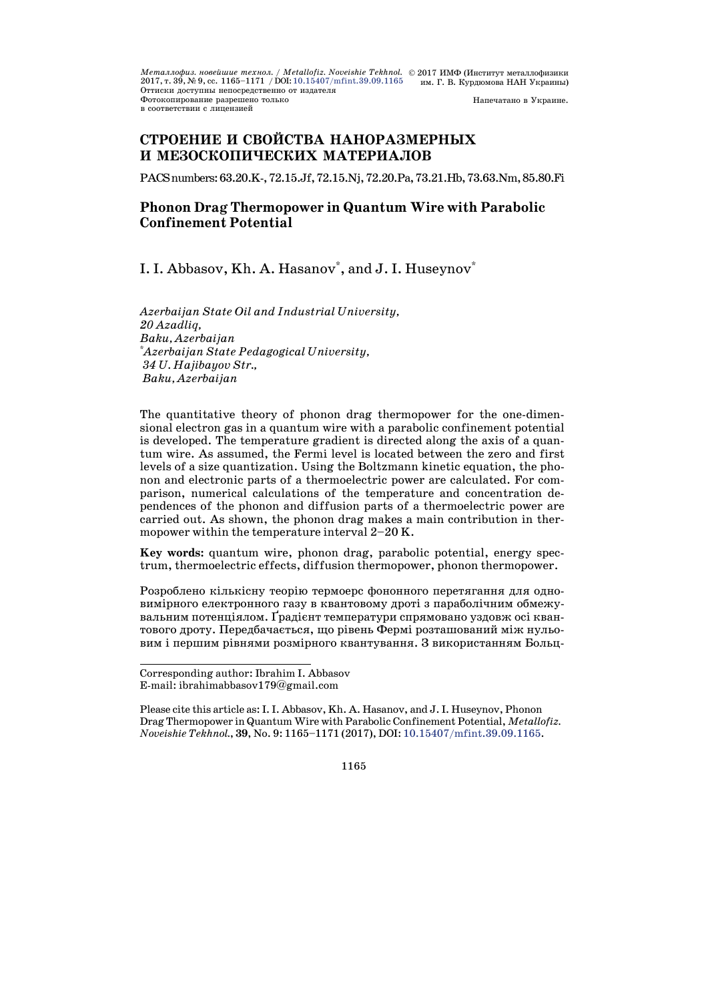*Металлофиз. новейшие технол. / Metallofiz. Noveishie Tekhnol. © 2*017 ИМФ (Институт металлофизики<br>2017, т. 39, № 9, сс. 1165–1171 / DOI: 10.15407/mfint.39.09.1165 им. Г. В. Курдюмова НАН Украины) Оттиски доступны непосредственно от издателя Фотокопирование разрешено только **в соответствии с липензией** Напечатано в Украине.

# **СТРОЕНИЕ И СВОЙСТВА НАНОРАЗМЕРНЫХ И МЕЗОСКОПИЧЕСКИХ МАТЕРИАЛОВ**

PACS numbers: 63.20.K-, 72.15.Jf, 72.15.Nj, 72.20.Pa, 73.21.Hb, 73.63.Nm, 85.80.Fi

## **Phonon Drag Thermopower in Quantum Wire with Parabolic Confinement Potential**

# I. I. Abbasov, Kh. A. Hasanov<sup>\*</sup>, and J. I. Huseynov<sup>\*</sup>

*Azerbaijan State Oil and Industrial University, 20 Azadliq, Baku, Azerbaijan* \* *Azerbaijan State Pedagogical University, 34 U. Hajibayov Str., Baku, Azerbaijan*

The quantitative theory of phonon drag thermopower for the one-dimensional electron gas in a quantum wire with a parabolic confinement potential is developed. The temperature gradient is directed along the axis of a quantum wire. As assumed, the Fermi level is located between the zero and first levels of a size quantization. Using the Boltzmann kinetic equation, the phonon and electronic parts of a thermoelectric power are calculated. For comparison, numerical calculations of the temperature and concentration dependences of the phonon and diffusion parts of a thermoelectric power are carried out. As shown, the phonon drag makes a main contribution in thermopower within the temperature interval 2–20 K.

**Key words:** quantum wire, phonon drag, parabolic potential, energy spectrum, thermoelectric effects, diffusion thermopower, phonon thermopower.

Розроблено кількісну теорію термоерс фононного перетягання для одновимірного електронного газу в квантовому дроті з параболічним обмежувальним потенціялом. Ґрадієнт температури спрямовано уздовж осі квантового дроту. Передбачається, що рівень Фермі розташований між нульовим і першим рівнями розмірного квантування. З використанням Больц-

l,

Corresponding author: Ibrahim I. Abbasov E-mail: ibrahimabbasov179@gmail.com

Please cite this article as:I.I. Abbasov, Kh. A. Hasanov, and J.I. Huseynov, Phonon Drag Thermopower in Quantum Wire with Parabolic Confinement Potential, *Metallofiz. Noveishie Tekhnol.*, **39**, No. 9: 1165–1171 (2017), DOI: [10.15407/mfint.39.09.1165.](https://doi.org/10.15407/mfint.39.09.1165)

<sup>1165</sup>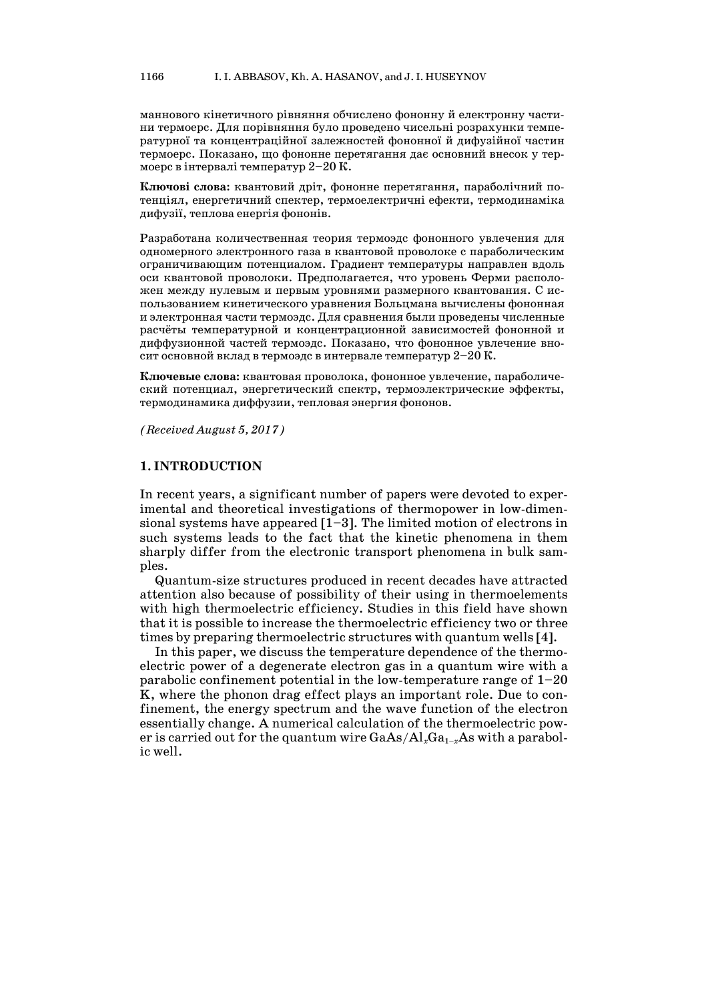маннового кінетичного рівняння обчислено фононну й електронну частини термоерс. Для порівняння було проведено чисельні розрахунки температурної та концентраційної залежностей фононної й дифузійної частин термоерс. Показано, що фононне перетягання дає основний внесок у термоерс в інтервалі температур 2–20 Ê.

**Ключові слова:** квантовий дріт, фононне перетягання, параболічний потенціял, енергетичний спектер, термоелектричні ефекти, термодинаміка дифузії, теплова енергія фононів.

Разработана количественная теория термоэдс фононного увлечения для одномерного электронного газа в квантовой проволоке с параболическим ограничивающим потенциалом. Градиент температуры направлен вдоль оси квантовой проволоки. Предполагается, что уровень Ферми расположен между нулевым и первым уровнями размерного квантования. С использованием кинетического уравнения Больцмана вычислены фононная и электронная части термоэдс. Для сравнения были проведены численные расчёты температурной и концентрационной зависимостей фононной и диффузионной частей термоэдс. Показано, что фононное увлечение вносит основной вклад в термоэдс в интервале температур  $2-20$  K.

**Ключевые слова:** квантовая проволока, фононное увлечение, параболический потенциал, энергетический спектр, термоэлектрические эффекты, термодинамика диффузии, тепловая энергия фононов.

*(Received August 5, 2017)*

### **1. INTRODUCTION**

In recent years, a significant number of papers were devoted to experimental and theoretical investigations of thermopower in low-dimensional systems have appeared  $[1-3]$ . The limited motion of electrons in such systems leads to the fact that the kinetic phenomena in them sharply differ from the electronic transport phenomena in bulk samples.

Quantum-size structures produced in recent decades have attracted attention also because of possibility of their using in thermoelements with high thermoelectric efficiency. Studies in this field have shown that it is possible to increase the thermoelectric efficiency two or three times by preparing thermoelectric structures with quantum wells [4].

In this paper, we discuss the temperature dependence of the thermoelectric power of a degenerate electron gas in a quantum wire with a parabolic confinement potential in the low-temperature range of  $1-20$ K, where the phonon drag effect plays an important role. Due to confinement, the energy spectrum and the wave function of the electron essentially change. A numerical calculation of the thermoelectric power is carried out for the quantum wire GaAs/Al<sub>x</sub>Ga<sub>1-*x*</sub>As with a parabolic well.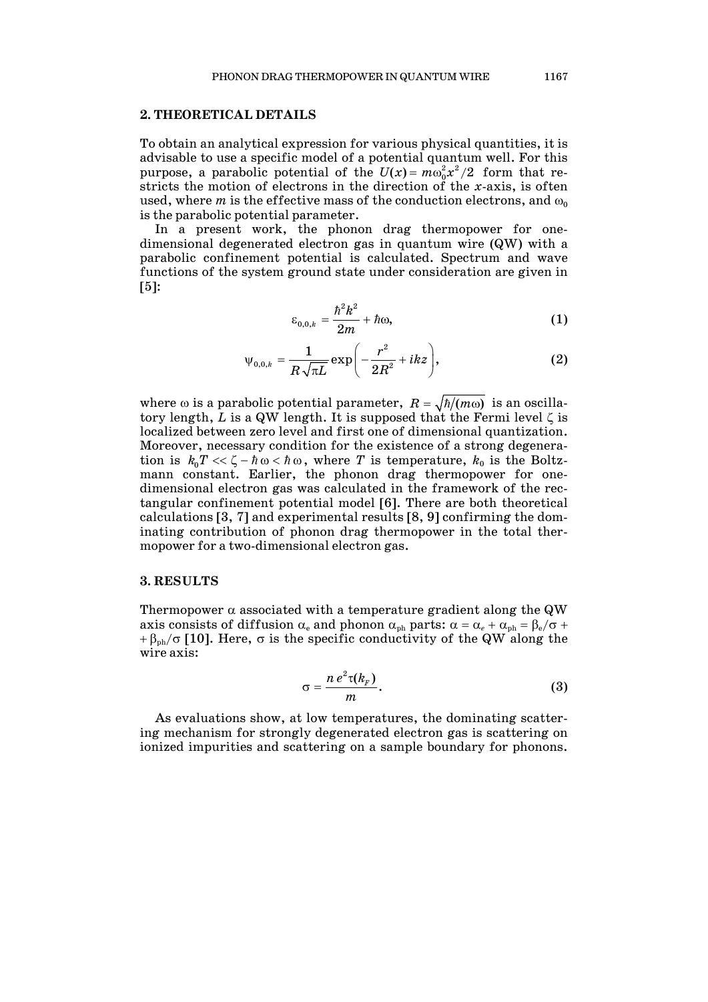### **2. THEORETICAL DETAILS**

To obtain an analytical expression for various physical quantities, it is advisable to use a specific model of a potential quantum well. For this purpose, a parabolic potential of the  $U(x) = m\omega_0^2 x^2/2$  form that restricts the motion of electrons in the direction of the *x*-axis, is often used, where *m* is the effective mass of the conduction electrons, and  $\omega_0$ is the parabolic potential parameter.

In a present work, the phonon drag thermopower for onedimensional degenerated electron gas in quantum wire (QW) with a parabolic confinement potential is calculated. Spectrum and wave functions of the system ground state under consideration are given in [5]:

$$
\varepsilon_{0,0,k} = \frac{\hbar^2 k^2}{2m} + \hbar \omega,
$$
\n(1)

$$
\Psi_{0,0,k} = \frac{1}{R\sqrt{\pi L}} \exp\biggl(-\frac{r^2}{2R^2} + ikz\biggr),\tag{2}
$$

where  $\omega$  is a parabolic potential parameter,  $R = \sqrt{\hbar/(m\omega)}$  is an oscillatory length, *L* is a QW length. It is supposed that the Fermi level ζ is localized between zero level and first one of dimensional quantization. Moreover, necessary condition for the existence of a strong degeneration is  $k_0 T \ll \zeta - \hbar \omega < \hbar \omega$ , where *T* is temperature,  $k_0$  is the Boltzmann constant. Earlier, the phonon drag thermopower for onedimensional electron gas was calculated in the framework of the rectangular confinement potential model [6]. There are both theoretical calculations [3, 7] and experimental results [8, 9] confirming the dominating contribution of phonon drag thermopower in the total thermopower for a two-dimensional electron gas.

#### **3. RESULTS**

Thermopower  $\alpha$  associated with a temperature gradient along the QW axis consists of diffusion  $\alpha_e$  and phonon  $\alpha_{ph}$  parts:  $\alpha = \alpha_e + \alpha_{ph} = \beta_e/\sigma + \beta_e$  $+\beta_{ph}/\sigma$  [10]. Here,  $\sigma$  is the specific conductivity of the QW along the wire axis:

$$
\sigma = \frac{n\,e^2\tau(k_F)}{m}.\tag{3}
$$

As evaluations show, at low temperatures, the dominating scattering mechanism for strongly degenerated electron gas is scattering on ionized impurities and scattering on a sample boundary for phonons.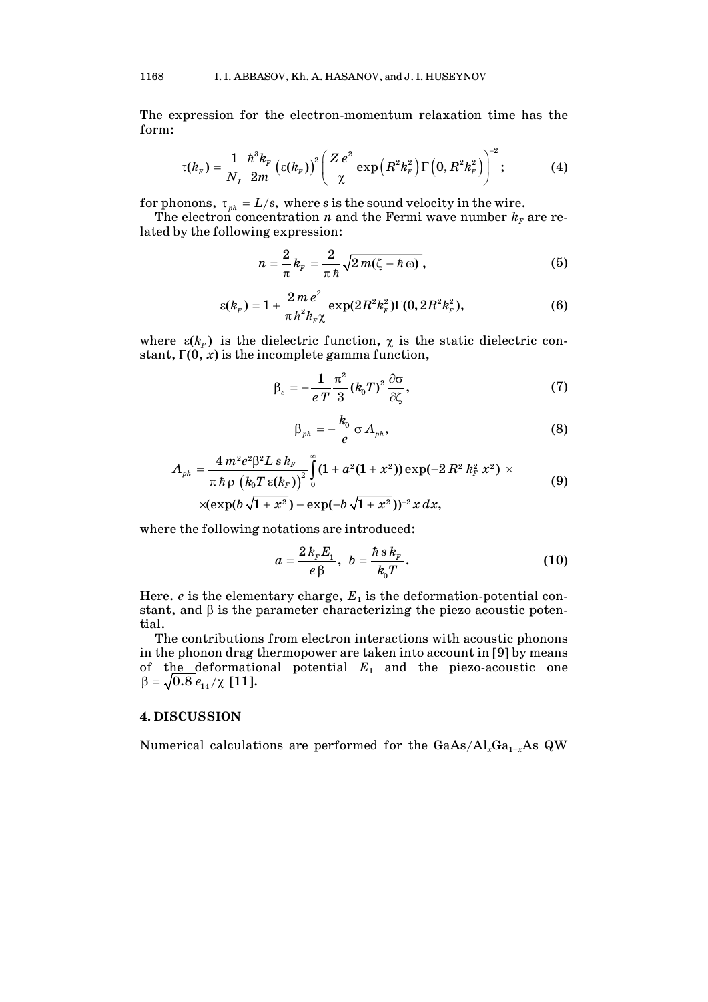The expression for the electron-momentum relaxation time has the form:

$$
\tau(k_F) = \frac{1}{N_I} \frac{\hbar^3 k_F}{2m} \left( \varepsilon(k_F) \right)^2 \left( \frac{Z e^2}{\chi} \exp\left( R^2 k_F^2 \right) \Gamma\left( 0, R^2 k_F^2 \right) \right)^{-2}; \tag{4}
$$

for phonons,  $\tau_{ph} = L/s$ , where *s* is the sound velocity in the wire.

The electron concentration *n* and the Fermi wave number  $k_F$  are related by the following expression:

$$
n=\frac{2}{\pi}k_F=\frac{2}{\pi\hbar}\sqrt{2\,m(\zeta-\hbar\,\omega)}\,,\qquad (5)
$$

$$
\varepsilon(k_{F})=1+\frac{2\,m\,e^{2}}{\pi\,\hbar^{2}k_{F}\chi}\exp(2R^{2}k_{F}^{2})\Gamma(0,2R^{2}k_{F}^{2}), \qquad (6)
$$

where  $\varepsilon (k_{F})$  is the dielectric function,  $\chi$  is the static dielectric constant,  $\Gamma(0, x)$  is the incomplete gamma function,

$$
\beta_e = -\frac{1}{e T} \frac{\pi^2}{3} (k_0 T)^2 \frac{\partial \sigma}{\partial \zeta},\tag{7}
$$

$$
\beta_{ph} = -\frac{k_0}{e} \sigma A_{ph}, \qquad (8)
$$

$$
A_{ph} = \frac{4 m^2 e^2 \beta^2 L s k_F}{\pi h \rho \left(k_0 T \varepsilon(k_F)\right)^2} \int_0^{\infty} (1 + a^2 (1 + x^2)) \exp(-2 R^2 k_F^2 x^2) \times \\ \times (\exp(b \sqrt{1 + x^2}) - \exp(-b \sqrt{1 + x^2}))^{-2} x dx,
$$
\n(9)

where the following notations are introduced:

$$
a = \frac{2 k_{F} E_{1}}{e \beta}, \ b = \frac{\hbar s k_{F}}{k_{0} T}.
$$
 (10)

Here.  $e$  is the elementary charge,  $E_1$  is the deformation-potential constant, and β is the parameter characterizing the piezo acoustic potential.

The contributions from electron interactions with acoustic phonons in the phonon drag thermopower are taken into account in [9] by means of the deformational potential *E*<sup>1</sup> and the piezo-acoustic one  $\beta = \sqrt{0.8 \, e_{14} / \chi}$  [11].

### **4. DISCUSSION**

Numerical calculations are performed for the GaAs/Al<sub>*x*</sub>Ga<sub>1−*x*</sub>As QW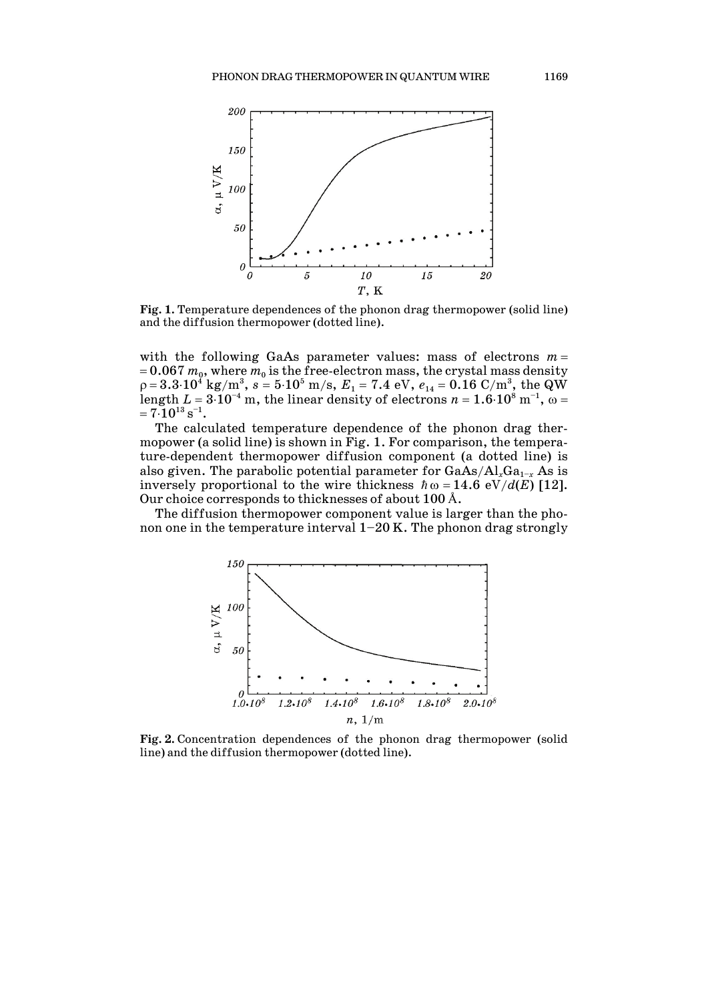

**Fig. 1.** Temperature dependences of the phonon drag thermopower (solid line) and the diffusion thermopower (dotted line).

with the following GaAs parameter values: mass of electrons  $m =$  $= 0.067 m_0$ , where  $m_0$  is the free-electron mass, the crystal mass density  $\rho$  =  $3.3{\cdot}10^4$  kg/m $^3,~s$  =  $5{\cdot}10^5$  m/s,  $E_1$  =  $7.4$  eV,  $e_{14}$  =  $0.16$  C/m $^3,~{\rm the~QW}$ length  $L = 3 \cdot 10^{-4}$  m, the linear density of electrons  $n = 1.6 \cdot 10^8$  m<sup>-1</sup>,  $\omega =$  $= 7.10^{13} s^{-1}.$ 

The calculated temperature dependence of the phonon drag thermopower (a solid line) is shown in Fig. 1. For comparison, the temperature-dependent thermopower diffusion component (a dotted line) is also given. The parabolic potential parameter for GaAs/Al<sub>*x*</sub>Ga<sub>1−*x*</sub> As is inversely proportional to the wire thickness  $\hbar \omega = 14.6 \text{ eV}/d(E)$  [12]. Our choice corresponds to thicknesses of about 100 Å.

The diffusion thermopower component value is larger than the phonon one in the temperature interval  $1-20$  K. The phonon drag strongly



**Fig. 2.** Concentration dependences of the phonon drag thermopower (solid line) and the diffusion thermopower (dotted line).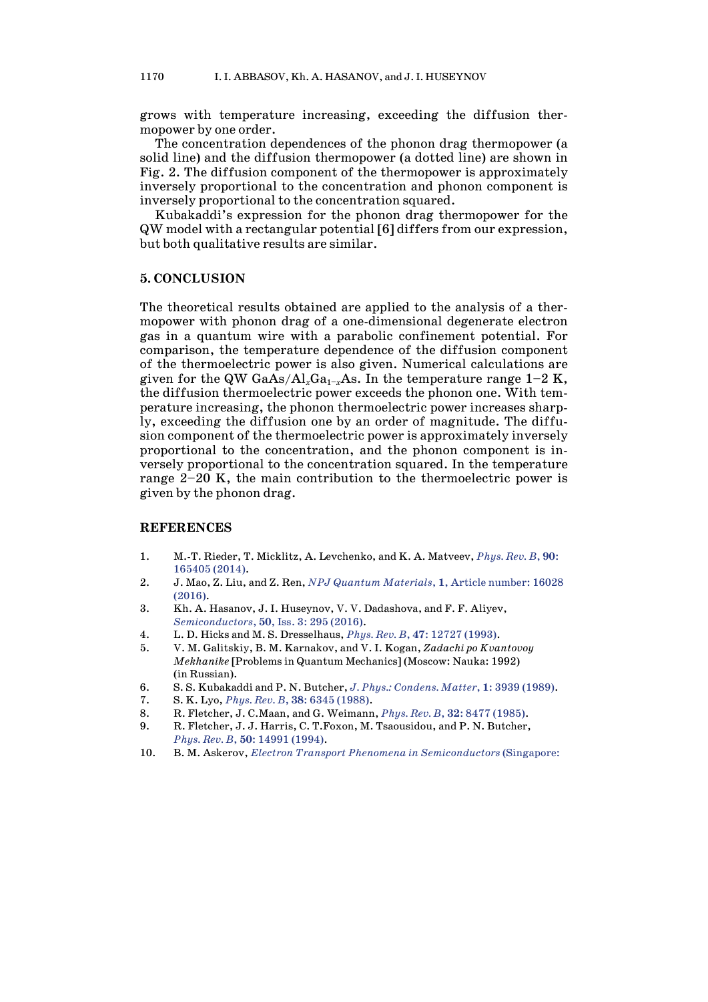grows with temperature increasing, exceeding the diffusion thermopower by one order.

The concentration dependences of the phonon drag thermopower (a solid line) and the diffusion thermopower (a dotted line) are shown in Fig. 2. The diffusion component of the thermopower is approximately inversely proportional to the concentration and phonon component is inversely proportional to the concentration squared.

Kubakaddi's expression for the phonon drag thermopower for the QW model with a rectangular potential [6] differs from our expression, but both qualitative results are similar.

#### **5. CONCLUSION**

The theoretical results obtained are applied to the analysis of a thermopower with phonon drag of a one-dimensional degenerate electron gas in a quantum wire with a parabolic confinement potential. For comparison, the temperature dependence of the diffusion component of the thermoelectric power is also given. Numerical calculations are given for the QW GaAs/Al<sub>x</sub>Ga<sub>1-*x*</sub>As. In the temperature range  $1-2$  K, the diffusion thermoelectric power exceeds the phonon one. With temperature increasing, the phonon thermoelectric power increases sharply, exceeding the diffusion one by an order of magnitude. The diffusion component of the thermoelectric power is approximately inversely proportional to the concentration, and the phonon component is inversely proportional to the concentration squared. In the temperature range 2–20 K, the main contribution to the thermoelectric power is given by the phonon drag.

### **REFERENCES**

- 1. M.-T. Rieder, T. Micklitz, A. Levchenko, and K. A. Matveev, *[Phys.](https://doi.org/10.1103/PhysRevB.90.165405) Rev. B*, **90**: [165405](https://doi.org/10.1103/PhysRevB.90.165405) (2014).
- 2. J. [Mao,](http://www.nature.com/articles/npjquantmats201628%23auth-1) Z. [Liu,](http://www.nature.com/articles/npjquantmats201628%23auth-2) and Z. Ren, *NPJ Quantum [Materials](https://doi.org/10.1038/npjquantmats.2016.28)*, **1**, Article number: 16028 [\(2016\).](https://doi.org/10.1038/npjquantmats.2016.28)
- 3. Kh. A. Hasanov, J. I. Huseynov, V. V. Dadashova, and F. F. Aliyev, *[Semiconductors](https://doi.org/10.1134/S106378261603009X)*, **50**, Iss. 3: 295 (2016).
- 4. L. D. Hicks and M. S. Dresselhaus, *Phys. Rev. B*, **47**: 12727 [\(1993\).](https://doi.org/10.1103/PhysRevB.47.12727)
- 5. V. M. Galitskiy, B. M. Karnakov, and V. I. Kogan, *Zadachi po Kvantovoy Mekhanike* [Problems in Quantum Mechanics] (Moscow: Nauka: 1992) (in Russian).
- 6. S. S. Kubakaddi and P. N. Butcher, *J. Phys.: [Condens.](https://doi.org/10.1088/0953-8984/1/25/006) Matter*, **1**: 3939 (1989).
- 7. S. K. Lyo, *Phys. Rev. B*, **38**: 6345 [\(1988\).](https://doi.org/10.1103/PhysRevB.38.6345)
- 8. R. Fletcher, J. C.Maan, and G. Weimann, *Phys. Rev. B*, **32**: 8477 [\(1985\).](https://doi.org/10.1103/PhysRevB.32.8477)
- 9. R. Fletcher, J. J. Harris, C. T.Foxon, M. Tsaousidou, and P. N. Butcher, *Phys. Rev. B*, **50**: 14991 [\(1994\).](https://doi.org/10.1103/PhysRevB.50.14991)
- 10. B. M. Askerov, *Electron Transport Phenomena in [Semiconductors](https://doi.org/10.1142/1926)* (Singapore: